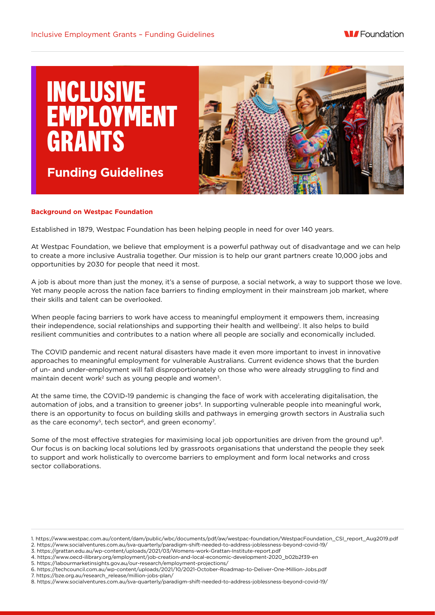

**Funding Guidelines**



# **Background on Westpac Foundation**

Established in 1879, Westpac Foundation has been helping people in need for over 140 years.

At Westpac Foundation, we believe that employment is a powerful pathway out of disadvantage and we can help to create a more inclusive Australia together. Our mission is to help our grant partners create 10,000 jobs and opportunities by 2030 for people that need it most.

A job is about more than just the money, it's a sense of purpose, a social network, a way to support those we love. Yet many people across the nation face barriers to finding employment in their mainstream job market, where their skills and talent can be overlooked.

When people facing barriers to work have access to meaningful employment it empowers them, increasing their independence, social relationships and supporting their health and wellbeing'. It also helps to build resilient communities and contributes to a nation where all people are socially and economically included.

The COVID pandemic and recent natural disasters have made it even more important to invest in innovative approaches to meaningful employment for vulnerable Australians. Current evidence shows that the burden of un- and under-employment will fall disproportionately on those who were already struggling to find and maintain decent work<sup>2</sup> such as young people and women<sup>3</sup>.

At the same time, the COVID-19 pandemic is changing the face of work with accelerating digitalisation, the automation of jobs, and a transition to greener jobs<sup>4</sup>. In supporting vulnerable people into meaningful work, there is an opportunity to focus on building skills and pathways in emerging growth sectors in Australia such as the care economy<sup>5</sup>, tech sector<sup>6</sup>, and green economy<sup>7</sup>.

Some of the most effective strategies for maximising local job opportunities are driven from the ground up<sup>8</sup>. Our focus is on backing local solutions led by grassroots organisations that understand the people they seek to support and work holistically to overcome barriers to employment and form local networks and cross sector collaborations.

7. https://bze.org.au/research\_release/million-jobs-plan/

<sup>1.</sup> https://www.westpac.com.au/content/dam/public/wbc/documents/pdf/aw/westpac-foundation/WestpacFoundation\_CSI\_report\_Aug2019.pdf 2. https://www.socialventures.com.au/sva-quarterly/paradigm-shift-needed-to-address-joblessness-beyond-covid-19/

<sup>3.</sup> https://grattan.edu.au/wp-content/uploads/2021/03/Womens-work-Grattan-Institute-report.pdf

<sup>4.</sup> https://www.oecd-ilibrary.org/employment/job-creation-and-local-economic-development-2020\_b02b2f39-en

<sup>5.</sup> https://labourmarketinsights.gov.au/our-research/employment-projections/

<sup>6.</sup> https://techcouncil.com.au/wp-content/uploads/2021/10/2021-October-Roadmap-to-Deliver-One-Million-Jobs.pdf

<sup>8.</sup> https://www.socialventures.com.au/sva-quarterly/paradigm-shift-needed-to-address-joblessness-beyond-covid-19/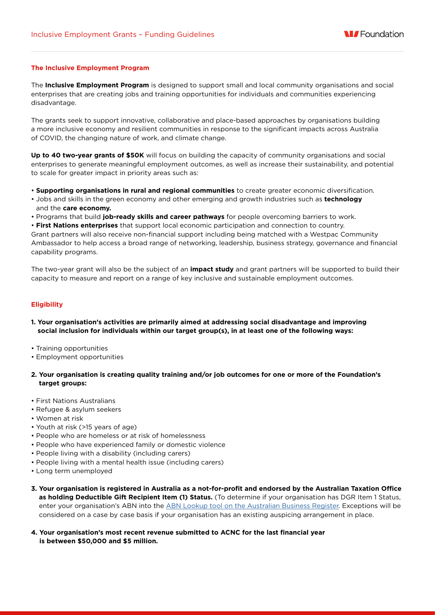## **The Inclusive Employment Program**

The **Inclusive Employment Program** is designed to support small and local community organisations and social enterprises that are creating jobs and training opportunities for individuals and communities experiencing disadvantage.

The grants seek to support innovative, collaborative and place-based approaches by organisations building a more inclusive economy and resilient communities in response to the significant impacts across Australia of COVID, the changing nature of work, and climate change.

**Up to 40 two-year grants of \$50K** will focus on building the capacity of community organisations and social enterprises to generate meaningful employment outcomes, as well as increase their sustainability, and potential to scale for greater impact in priority areas such as:

- **Supporting organisations in rural and regional communities** to create greater economic diversification.
- Jobs and skills in the green economy and other emerging and growth industries such as **technology** and the **care economy.**
- Programs that build **job-ready skills and career pathways** for people overcoming barriers to work.
- **First Nations enterprises** that support local economic participation and connection to country.

Grant partners will also receive non-financial support including being matched with a Westpac Community Ambassador to help access a broad range of networking, leadership, business strategy, governance and financial capability programs.

The two-year grant will also be the subject of an **impact study** and grant partners will be supported to build their capacity to measure and report on a range of key inclusive and sustainable employment outcomes.

## **Eligibility**

- **1. Your organisation's activities are primarily aimed at addressing social disadvantage and improving social inclusion for individuals within our target group(s), in at least one of the following ways:**
- Training opportunities
- Employment opportunities
- **2. Your organisation is creating quality training and/or job outcomes for one or more of the Foundation's target groups:**
- First Nations Australians
- Refugee & asylum seekers
- Women at risk
- Youth at risk (>15 years of age)
- People who are homeless or at risk of homelessness
- People who have experienced family or domestic violence
- People living with a disability (including carers)
- People living with a mental health issue (including carers)
- Long term unemployed
- **3. Your organisation is registered in Australia as a not-for-profit and endorsed by the Australian Taxation Office as holding Deductible Gift Recipient Item (1) Status.** (To determine if your organisation has DGR Item 1 Status, enter your organisation's ABN into the [ABN Lookup tool on the Australian Business Register](https://abr.business.gov.au/Tools/AbnLookup). Exceptions will be considered on a case by case basis if your organisation has an existing auspicing arrangement in place.
- **4. Your organisation's most recent revenue submitted to ACNC for the last financial year is between \$50,000 and \$5 million.**